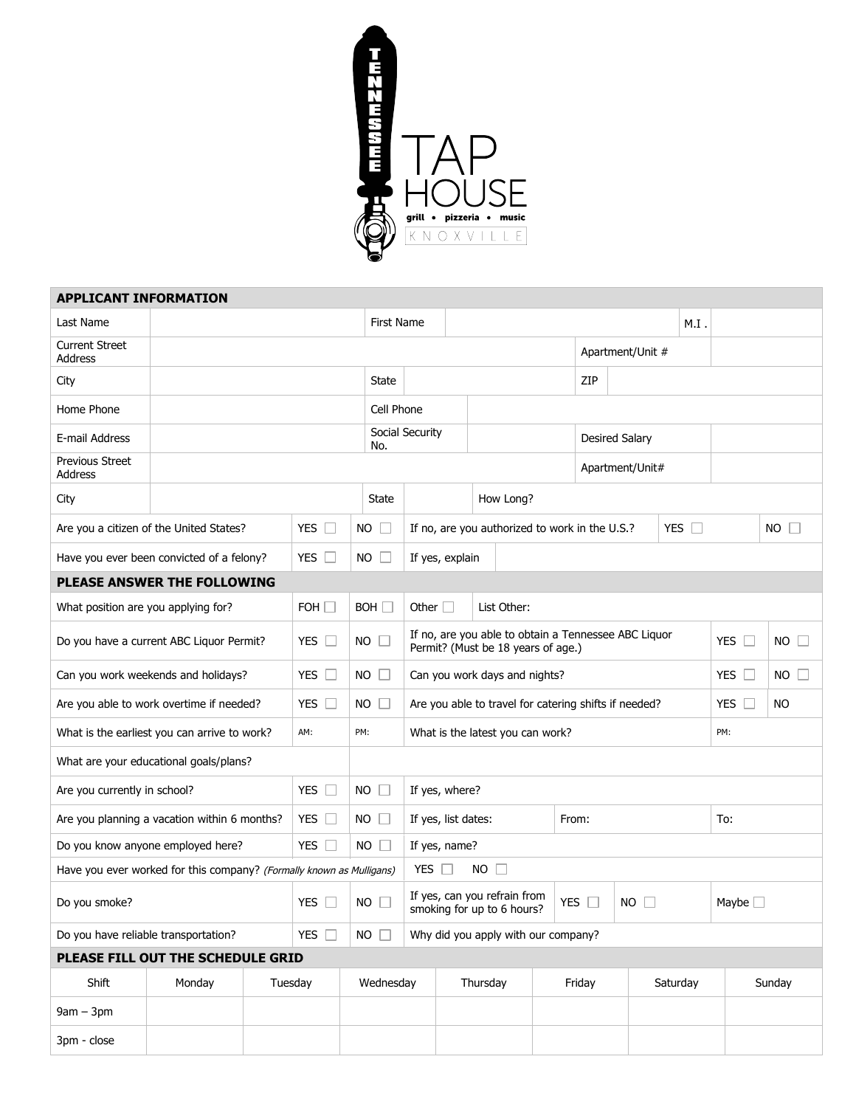

| <b>APPLICANT INFORMATION</b>                                         |                                         |         |                      |                     |                                                                                            |                 |                                                            |                                                              |           |                                     |                   |                       |                           |              |     |  |
|----------------------------------------------------------------------|-----------------------------------------|---------|----------------------|---------------------|--------------------------------------------------------------------------------------------|-----------------|------------------------------------------------------------|--------------------------------------------------------------|-----------|-------------------------------------|-------------------|-----------------------|---------------------------|--------------|-----|--|
| Last Name                                                            |                                         |         |                      |                     | <b>First Name</b>                                                                          |                 |                                                            |                                                              |           |                                     |                   |                       | M.I                       |              |     |  |
| <b>Current Street</b><br><b>Address</b>                              |                                         |         |                      |                     |                                                                                            |                 |                                                            |                                                              |           |                                     |                   | Apartment/Unit #      |                           |              |     |  |
| City                                                                 |                                         |         | State                |                     |                                                                                            |                 |                                                            | ZIP                                                          |           |                                     |                   |                       |                           |              |     |  |
| Home Phone                                                           |                                         |         |                      |                     |                                                                                            |                 | Cell Phone                                                 |                                                              |           |                                     |                   |                       |                           |              |     |  |
| E-mail Address                                                       |                                         |         |                      |                     | No.                                                                                        | Social Security |                                                            |                                                              |           |                                     |                   | <b>Desired Salary</b> |                           |              |     |  |
| Previous Street<br>Address                                           |                                         |         |                      |                     |                                                                                            |                 |                                                            |                                                              |           | Apartment/Unit#                     |                   |                       |                           |              |     |  |
| City                                                                 |                                         |         |                      |                     | State                                                                                      |                 |                                                            |                                                              | How Long? |                                     |                   |                       |                           |              |     |  |
|                                                                      | Are you a citizen of the United States? |         | <b>YES</b><br>$\Box$ |                     | $NO \Box$                                                                                  |                 |                                                            | YES $\Box$<br>If no, are you authorized to work in the U.S.? |           |                                     |                   |                       |                           | $NO$ $\Box$  |     |  |
| Have you ever been convicted of a felony?                            | YES $\Box$                              | NO.     |                      | If yes, explain     |                                                                                            |                 |                                                            |                                                              |           |                                     |                   |                       |                           |              |     |  |
| PLEASE ANSWER THE FOLLOWING                                          |                                         |         |                      |                     |                                                                                            |                 |                                                            |                                                              |           |                                     |                   |                       |                           |              |     |  |
| What position are you applying for?                                  | FOH $\square$                           |         | BOH                  | Other $\Box$        |                                                                                            |                 | List Other:                                                |                                                              |           |                                     |                   |                       |                           |              |     |  |
| Do you have a current ABC Liquor Permit?                             | YES $\Box$                              |         | $NO$ $\Box$          |                     | If no, are you able to obtain a Tennessee ABC Liquor<br>Permit? (Must be 18 years of age.) |                 |                                                            |                                                              |           |                                     |                   | YES $\Box$            | <b>NO</b><br>$\mathbb{R}$ |              |     |  |
| Can you work weekends and holidays?                                  | YES $\Box$                              | NO      |                      |                     | Can you work days and nights?                                                              |                 |                                                            |                                                              |           |                                     |                   | YES $\square$         | NO.                       |              |     |  |
| Are you able to work overtime if needed?<br>YES $\Box$               |                                         |         |                      |                     | $NO$ $\Box$                                                                                |                 | Are you able to travel for catering shifts if needed?      |                                                              |           |                                     |                   |                       |                           | <b>YES</b>   | NO. |  |
| What is the earliest you can arrive to work?<br>AM:                  |                                         |         |                      |                     | PM:                                                                                        |                 | What is the latest you can work?<br>PM:                    |                                                              |           |                                     |                   |                       |                           |              |     |  |
| What are your educational goals/plans?                               |                                         |         |                      |                     |                                                                                            |                 |                                                            |                                                              |           |                                     |                   |                       |                           |              |     |  |
| Are you currently in school?<br>YES $\Box$                           |                                         |         |                      |                     | $NO$ $\Box$                                                                                | If yes, where?  |                                                            |                                                              |           |                                     |                   |                       |                           |              |     |  |
| Are you planning a vacation within 6 months?                         | YES $\Box$                              |         | $NO \Box$            | If yes, list dates: |                                                                                            |                 |                                                            |                                                              | From:     |                                     | To:               |                       |                           |              |     |  |
| Do you know anyone employed here?<br>YES $\Box$                      |                                         |         |                      |                     | $NO$ $\Box$<br>If yes, name?                                                               |                 |                                                            |                                                              |           |                                     |                   |                       |                           |              |     |  |
| Have you ever worked for this company? (Formally known as Mulligans) |                                         |         |                      |                     |                                                                                            |                 | $NO$ $\Box$<br>YES $\Box$                                  |                                                              |           |                                     |                   |                       |                           |              |     |  |
| Do you smoke?<br><b>YES</b>                                          |                                         |         |                      | <b>NO</b>           |                                                                                            |                 | If yes, can you refrain from<br>smoking for up to 6 hours? |                                                              |           |                                     | <b>YES</b><br>NO. |                       |                           | Maybe $\Box$ |     |  |
| Do you have reliable transportation?<br>YES $\square$                |                                         |         |                      |                     | $NO \Box$                                                                                  |                 |                                                            |                                                              |           | Why did you apply with our company? |                   |                       |                           |              |     |  |
|                                                                      | PLEASE FILL OUT THE SCHEDULE GRID       |         |                      |                     |                                                                                            |                 |                                                            |                                                              |           |                                     |                   |                       |                           |              |     |  |
| Shift                                                                | Monday                                  | Tuesday |                      | Wednesday           |                                                                                            |                 | Thursday                                                   |                                                              |           | Friday                              |                   | Saturday              |                           | Sunday       |     |  |
| $9am - 3pm$                                                          |                                         |         |                      |                     |                                                                                            |                 |                                                            |                                                              |           |                                     |                   |                       |                           |              |     |  |
| 3pm - close                                                          |                                         |         |                      |                     |                                                                                            |                 |                                                            |                                                              |           |                                     |                   |                       |                           |              |     |  |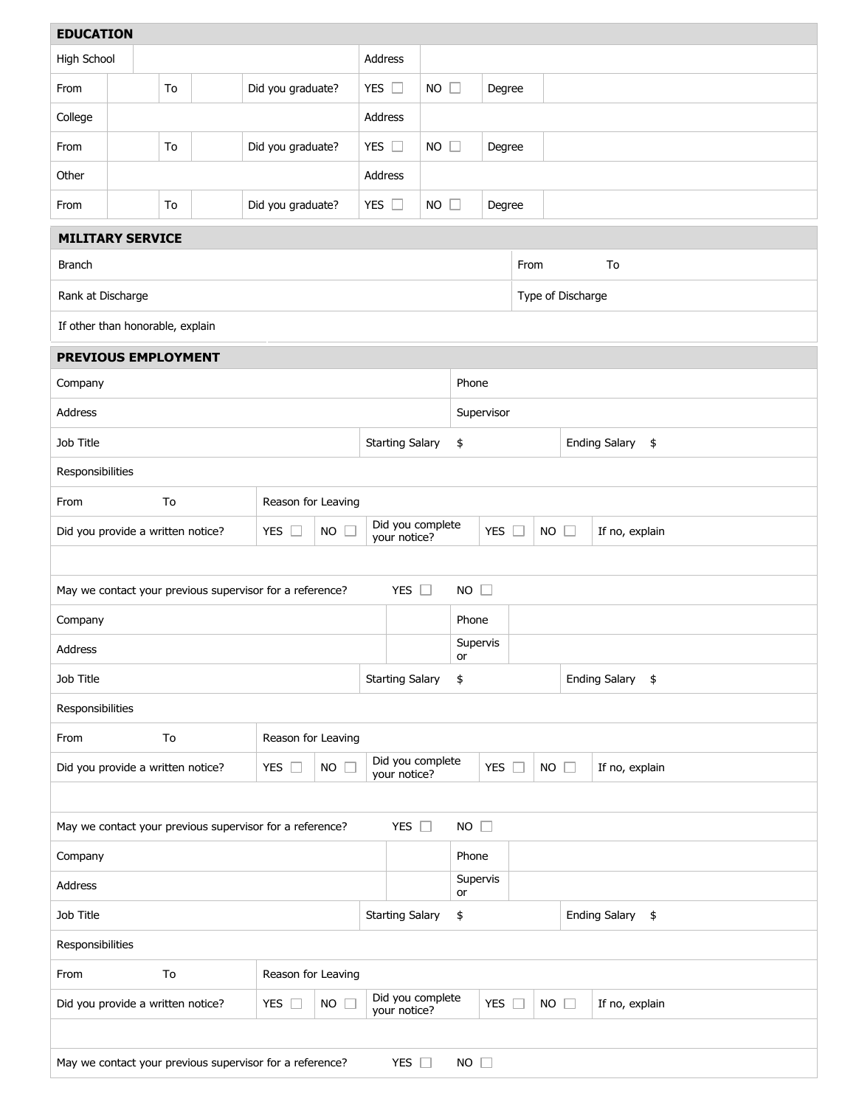| <b>EDUCATION</b>                                                                         |                                                                           |    |                                                          |                   |                     |                                  |                                  |                        |                |               |                                  |             |                                       |  |  |  |  |
|------------------------------------------------------------------------------------------|---------------------------------------------------------------------------|----|----------------------------------------------------------|-------------------|---------------------|----------------------------------|----------------------------------|------------------------|----------------|---------------|----------------------------------|-------------|---------------------------------------|--|--|--|--|
|                                                                                          | High School                                                               |    |                                                          |                   | Address             |                                  |                                  |                        |                |               |                                  |             |                                       |  |  |  |  |
| From                                                                                     |                                                                           | To |                                                          | Did you graduate? |                     | YES $\square$                    |                                  | $NO$ $\Box$            |                | Degree        |                                  |             |                                       |  |  |  |  |
| College                                                                                  |                                                                           |    |                                                          |                   | Address             |                                  |                                  |                        |                |               |                                  |             |                                       |  |  |  |  |
| From                                                                                     | To<br>Did you graduate?                                                   |    |                                                          |                   | YES $\square$       |                                  | <b>NO</b>                        | $\Box$                 | Degree         |               |                                  |             |                                       |  |  |  |  |
| Other                                                                                    |                                                                           |    |                                                          |                   |                     |                                  | Address                          |                        |                |               |                                  |             |                                       |  |  |  |  |
| From                                                                                     | $\Box$<br>Did you graduate?<br>YES $\square$<br><b>NO</b><br>To<br>Degree |    |                                                          |                   |                     |                                  |                                  |                        |                |               |                                  |             |                                       |  |  |  |  |
| <b>MILITARY SERVICE</b>                                                                  |                                                                           |    |                                                          |                   |                     |                                  |                                  |                        |                |               |                                  |             |                                       |  |  |  |  |
| <b>Branch</b><br>From<br>To                                                              |                                                                           |    |                                                          |                   |                     |                                  |                                  |                        |                |               |                                  |             |                                       |  |  |  |  |
|                                                                                          | Rank at Discharge<br>Type of Discharge                                    |    |                                                          |                   |                     |                                  |                                  |                        |                |               |                                  |             |                                       |  |  |  |  |
| If other than honorable, explain                                                         |                                                                           |    |                                                          |                   |                     |                                  |                                  |                        |                |               |                                  |             |                                       |  |  |  |  |
| PREVIOUS EMPLOYMENT                                                                      |                                                                           |    |                                                          |                   |                     |                                  |                                  |                        |                |               |                                  |             |                                       |  |  |  |  |
| Company                                                                                  | Phone                                                                     |    |                                                          |                   |                     |                                  |                                  |                        |                |               |                                  |             |                                       |  |  |  |  |
| <b>Address</b><br>Supervisor                                                             |                                                                           |    |                                                          |                   |                     |                                  |                                  |                        |                |               |                                  |             |                                       |  |  |  |  |
| Job Title                                                                                |                                                                           |    |                                                          |                   |                     |                                  |                                  | <b>Starting Salary</b> | \$             |               |                                  |             | Ending Salary \$                      |  |  |  |  |
| Responsibilities                                                                         |                                                                           |    |                                                          |                   |                     |                                  |                                  |                        |                |               |                                  |             |                                       |  |  |  |  |
| From                                                                                     | Reason for Leaving<br>To                                                  |    |                                                          |                   |                     |                                  |                                  |                        |                |               |                                  |             |                                       |  |  |  |  |
| Did you provide a written notice?                                                        |                                                                           |    |                                                          | YES $\square$     | <b>NO</b><br>$\Box$ | Did you complete<br>your notice? |                                  |                        |                | YES $\square$ | <b>NO</b><br>If no, explain<br>n |             |                                       |  |  |  |  |
|                                                                                          |                                                                           |    |                                                          |                   |                     |                                  |                                  |                        |                |               |                                  |             |                                       |  |  |  |  |
| YES $\square$<br>$NO$ $\Box$<br>May we contact your previous supervisor for a reference? |                                                                           |    |                                                          |                   |                     |                                  |                                  |                        |                |               |                                  |             |                                       |  |  |  |  |
| Company                                                                                  | Phone                                                                     |    |                                                          |                   |                     |                                  |                                  |                        |                |               |                                  |             |                                       |  |  |  |  |
| Address                                                                                  |                                                                           |    |                                                          |                   |                     |                                  |                                  |                        | Supervis<br>or |               |                                  |             |                                       |  |  |  |  |
| Job Title<br><b>Starting Salary</b>                                                      |                                                                           |    |                                                          |                   |                     |                                  |                                  |                        | \$             |               |                                  |             | <b>Ending Salary</b><br>$\frac{1}{2}$ |  |  |  |  |
| Responsibilities                                                                         |                                                                           |    |                                                          |                   |                     |                                  |                                  |                        |                |               |                                  |             |                                       |  |  |  |  |
| From                                                                                     | To<br>Reason for Leaving                                                  |    |                                                          |                   |                     |                                  |                                  |                        |                |               |                                  |             |                                       |  |  |  |  |
| Did you provide a written notice?                                                        |                                                                           |    |                                                          | YES $\square$     | $NO$ $\square$      |                                  | Did you complete<br>your notice? |                        |                | YES $\square$ |                                  |             | NO $\square$<br>If no, explain        |  |  |  |  |
|                                                                                          |                                                                           |    |                                                          |                   |                     |                                  |                                  |                        |                |               |                                  |             |                                       |  |  |  |  |
| YES $\square$<br>$NO$ $\Box$<br>May we contact your previous supervisor for a reference? |                                                                           |    |                                                          |                   |                     |                                  |                                  |                        |                |               |                                  |             |                                       |  |  |  |  |
| Company                                                                                  |                                                                           |    |                                                          |                   |                     |                                  |                                  |                        | Phone          |               |                                  |             |                                       |  |  |  |  |
| Address                                                                                  |                                                                           |    |                                                          |                   |                     |                                  |                                  |                        | Supervis<br>or |               |                                  |             |                                       |  |  |  |  |
| <b>Ending Salary</b><br>Job Title<br><b>Starting Salary</b><br>\$<br>\$                  |                                                                           |    |                                                          |                   |                     |                                  |                                  |                        |                |               |                                  |             |                                       |  |  |  |  |
| Responsibilities                                                                         |                                                                           |    |                                                          |                   |                     |                                  |                                  |                        |                |               |                                  |             |                                       |  |  |  |  |
| From                                                                                     | To<br>Reason for Leaving                                                  |    |                                                          |                   |                     |                                  |                                  |                        |                |               |                                  |             |                                       |  |  |  |  |
| Did you provide a written notice?                                                        |                                                                           |    |                                                          | YES $\square$     | $NO$ $\Box$         |                                  | Did you complete<br>your notice? |                        |                | YES $\square$ |                                  | $NO$ $\Box$ | If no, explain                        |  |  |  |  |
|                                                                                          |                                                                           |    |                                                          |                   |                     |                                  |                                  |                        |                |               |                                  |             |                                       |  |  |  |  |
|                                                                                          |                                                                           |    | May we contact your previous supervisor for a reference? |                   |                     |                                  | YES $\Box$                       |                        | $NO$ $\Box$    |               |                                  |             |                                       |  |  |  |  |